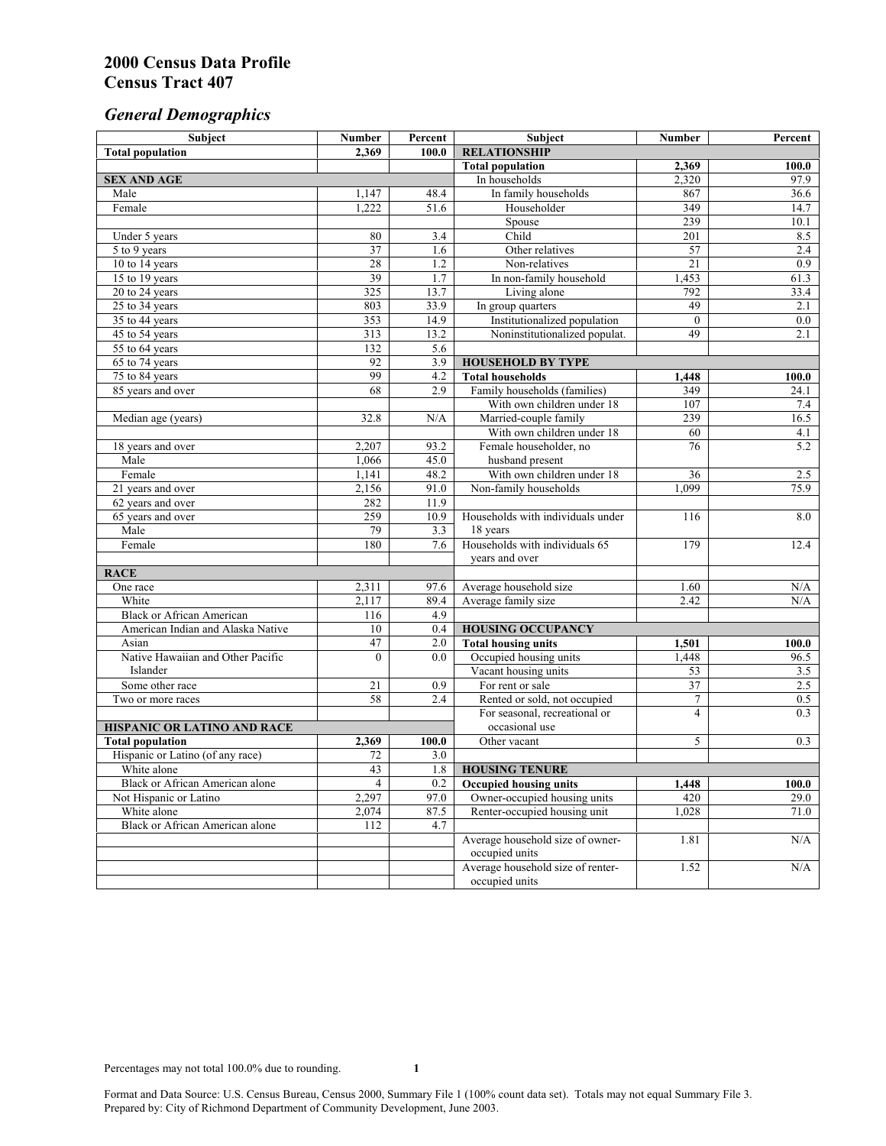# *General Demographics*

| Subject                           | <b>Number</b>   | Percent    | Subject                                       | <b>Number</b>   | Percent   |
|-----------------------------------|-----------------|------------|-----------------------------------------------|-----------------|-----------|
| <b>Total population</b>           | 2,369           | 100.0      | <b>RELATIONSHIP</b>                           |                 |           |
|                                   |                 |            | <b>Total population</b>                       | 2,369           | 100.0     |
| <b>SEX AND AGE</b>                |                 |            | In households                                 | 2,320           | 97.9      |
| Male                              | 1,147           | 48.4       | In family households                          | 867             | 36.6      |
| Female                            | 1,222           | 51.6       | Householder                                   | 349             | 14.7      |
|                                   |                 |            | Spouse                                        | 239             | 10.1      |
| Under 5 years                     | 80              | 3.4        | Child                                         | 201             | 8.5       |
| 5 to 9 years                      | 37              | 1.6        | Other relatives                               | 57              | 2.4       |
| 10 to 14 years                    | 28              | 1.2        | Non-relatives                                 | 21              | 0.9       |
| 15 to 19 years                    | 39              | 1.7        | In non-family household                       | 1,453           | 61.3      |
| 20 to 24 years                    | 325             | 13.7       | Living alone                                  | 792             | 33.4      |
| $25 \text{ to } 34$ years         | 803             | 33.9       | In group quarters                             | 49              | 2.1       |
| 35 to 44 years                    | 353             | 14.9       | Institutionalized population                  | $\theta$        | 0.0       |
| 45 to 54 years                    | 313             | 13.2       | Noninstitutionalized populat.                 | 49              | 2.1       |
| 55 to 64 years                    | 132             | 5.6        |                                               |                 |           |
| 65 to 74 years                    | 92              | 3.9        | <b>HOUSEHOLD BY TYPE</b>                      |                 |           |
| 75 to 84 years                    | 99              | 4.2        | <b>Total households</b>                       | 1,448           | 100.0     |
| 85 years and over                 | 68              | 2.9        | Family households (families)                  | 349             | 24.1      |
|                                   |                 |            | With own children under 18                    | 107             | 7.4       |
| Median age (years)                | 32.8            | N/A        | Married-couple family                         | 239             | 16.5      |
|                                   |                 |            | With own children under 18                    | 60              | 4.1       |
| 18 years and over                 | 2,207           | 93.2       | Female householder, no                        | 76              | 5.2       |
| Male                              | 1,066           | 45.0       | husband present                               |                 |           |
| Female                            | 1,141           | 48.2       | With own children under 18                    | 36              | 2.5       |
| 21 years and over                 | 2,156           | 91.0       | Non-family households                         | 1.099           | 75.9      |
| 62 years and over                 | 282             | 11.9       |                                               |                 |           |
| 65 years and over                 | 259             | 10.9       | Households with individuals under             | 116             | 8.0       |
| Male<br>Female                    | 79<br>180       | 3.3<br>7.6 | 18 years<br>Households with individuals 65    | 179             | 12.4      |
|                                   |                 |            |                                               |                 |           |
|                                   |                 |            | years and over                                |                 |           |
| <b>RACE</b><br>One race           | 2,311           | 97.6       |                                               | 1.60            | $\rm N/A$ |
| White                             | 2,117           | 89.4       | Average household size<br>Average family size | 2.42            | N/A       |
| <b>Black or African American</b>  | 116             | 4.9        |                                               |                 |           |
| American Indian and Alaska Native | 10              | 0.4        | <b>HOUSING OCCUPANCY</b>                      |                 |           |
| Asian                             | 47              | 2.0        | <b>Total housing units</b>                    | 1,501           | 100.0     |
| Native Hawaiian and Other Pacific | $\theta$        | 0.0        | Occupied housing units                        | 1,448           | 96.5      |
| Islander                          |                 |            | Vacant housing units                          | 53              | 3.5       |
| Some other race                   | 21              | 0.9        | For rent or sale                              | $\overline{37}$ | 2.5       |
| Two or more races                 | $\overline{58}$ | 2.4        | Rented or sold, not occupied                  | $\tau$          | 0.5       |
|                                   |                 |            | For seasonal, recreational or                 | $\overline{4}$  | 0.3       |
| HISPANIC OR LATINO AND RACE       |                 |            | occasional use                                |                 |           |
| <b>Total population</b>           | 2,369           | 100.0      | Other vacant                                  | 5               | 0.3       |
| Hispanic or Latino (of any race)  | 72              | 3.0        |                                               |                 |           |
| White alone                       | 43              | 1.8        | <b>HOUSING TENURE</b>                         |                 |           |
| Black or African American alone   | 4               | 0.2        | <b>Occupied housing units</b>                 | 1,448           | 100.0     |
| Not Hispanic or Latino            | 2,297           | 97.0       | Owner-occupied housing units                  | 420             | 29.0      |
| White alone                       | 2,074           | 87.5       | Renter-occupied housing unit                  | 1,028           | 71.0      |
| Black or African American alone   | 112             | 4.7        |                                               |                 |           |
|                                   |                 |            | Average household size of owner-              | 1.81            | N/A       |
|                                   |                 |            | occupied units                                |                 |           |
|                                   |                 |            | Average household size of renter-             | 1.52            | N/A       |
|                                   |                 |            | occupied units                                |                 |           |
|                                   |                 |            |                                               |                 |           |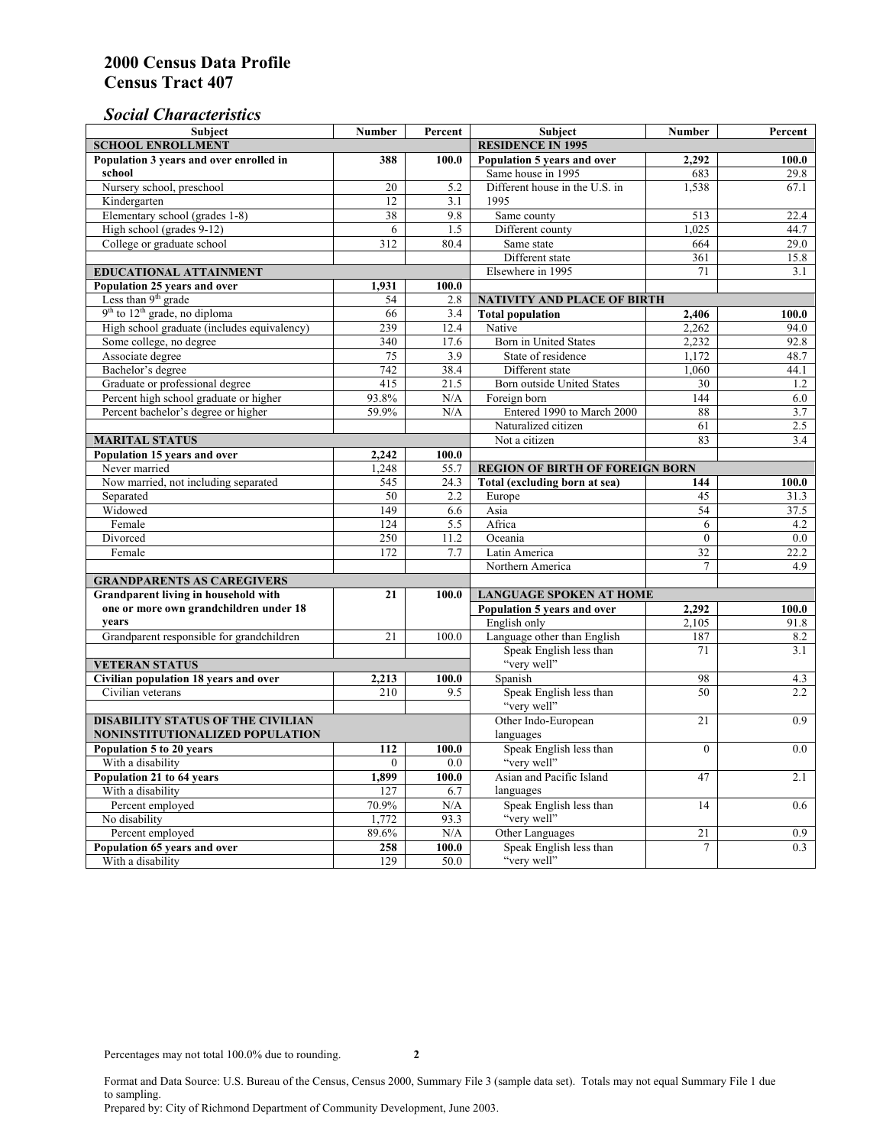### *Social Characteristics*

| <b>Subject</b>                                  | <b>Number</b>            | Percent | <b>Subject</b>                         | <b>Number</b>                                 | Percent          |  |
|-------------------------------------------------|--------------------------|---------|----------------------------------------|-----------------------------------------------|------------------|--|
| <b>SCHOOL ENROLLMENT</b>                        | <b>RESIDENCE IN 1995</b> |         |                                        |                                               |                  |  |
| Population 3 years and over enrolled in         | 388                      | 100.0   | Population 5 years and over            | 2,292                                         | 100.0            |  |
| school                                          |                          |         | Same house in 1995                     | 683                                           | 29.8             |  |
| Nursery school, preschool                       | 20                       | 5.2     | Different house in the U.S. in         | 1,538                                         | 67.1             |  |
| Kindergarten                                    | 12                       | 3.1     | 1995                                   |                                               |                  |  |
| Elementary school (grades 1-8)                  | 38                       | 9.8     | Same county                            | 513                                           | 22.4             |  |
| High school (grades 9-12)                       | 6                        | 1.5     | Different county                       | 1.025                                         | 44.7             |  |
| College or graduate school                      | 312                      | 80.4    | Same state                             | 664                                           | 29.0             |  |
|                                                 |                          |         | Different state                        | 361                                           | 15.8             |  |
| <b>EDUCATIONAL ATTAINMENT</b>                   |                          |         | Elsewhere in 1995                      | 71                                            | 3.1              |  |
| Population 25 years and over                    | 1,931                    | 100.0   |                                        |                                               |                  |  |
| Less than 9 <sup>th</sup> grade                 | 54                       | 2.8     | NATIVITY AND PLACE OF BIRTH            |                                               |                  |  |
| $9th$ to $12th$ grade, no diploma               | 66                       | 3.4     | <b>Total population</b>                | 2,406                                         | 100.0            |  |
| High school graduate (includes equivalency)     | 239                      | 12.4    | Native                                 | 2.262                                         | 94.0             |  |
| Some college, no degree                         | 340                      | 17.6    | Born in United States                  | 2,232                                         | 92.8             |  |
| Associate degree                                | $\overline{75}$          | 3.9     | State of residence                     | 1,172                                         | 48.7             |  |
| Bachelor's degree                               | 742                      | 38.4    | Different state                        | 1,060                                         | 44.1             |  |
| Graduate or professional degree                 | $\overline{415}$         | 21.5    | <b>Born</b> outside United States      | 30                                            | 1.2              |  |
| Percent high school graduate or higher          | 93.8%                    | N/A     | Foreign born                           | $\overline{144}$                              | 6.0              |  |
| Percent bachelor's degree or higher             | 59.9%                    | N/A     | Entered 1990 to March 2000             | 88                                            | 3.7              |  |
|                                                 |                          |         | Naturalized citizen                    | 61                                            | $\overline{2.5}$ |  |
| <b>MARITAL STATUS</b>                           | Not a citizen            | 83      | 3.4                                    |                                               |                  |  |
| Population 15 years and over                    | 2,242                    | 100.0   |                                        |                                               |                  |  |
| Never married                                   | 1.248                    | 55.7    | <b>REGION OF BIRTH OF FOREIGN BORN</b> |                                               |                  |  |
| Now married, not including separated            | 545                      | 24.3    | Total (excluding born at sea)          | 144                                           | 100.0            |  |
| Separated                                       | 50                       | 2.2     | Europe                                 | 45                                            | 31.3             |  |
| Widowed                                         | 149                      | 6.6     | Asia                                   | 54                                            | 37.5             |  |
| Female                                          | 124                      | 5.5     | Africa                                 | 6                                             | 4.2              |  |
| Divorced                                        | 250                      | 11.2    | Oceania                                | $\mathbf{0}$                                  | 0.0              |  |
| Female                                          | 172                      | 7.7     | Latin America                          | 32                                            | 22.2<br>4.9      |  |
|                                                 |                          |         | Northern America                       | $\overline{7}$                                |                  |  |
| <b>GRANDPARENTS AS CAREGIVERS</b>               | 21                       | 100.0   |                                        |                                               |                  |  |
| Grandparent living in household with            |                          |         | <b>LANGUAGE SPOKEN AT HOME</b>         | Population 5 years and over<br>2.292<br>100.0 |                  |  |
| one or more own grandchildren under 18<br>vears |                          |         | English only                           | 2,105                                         | 91.8             |  |
| Grandparent responsible for grandchildren       | 21                       | 100.0   | Language other than English            | 187                                           | 8.2              |  |
|                                                 |                          |         | Speak English less than                | 71                                            | 3.1              |  |
| <b>VETERAN STATUS</b>                           |                          |         | "very well"                            |                                               |                  |  |
| Civilian population 18 years and over           | 2,213                    | 100.0   | Spanish                                | 98                                            | 4.3              |  |
| Civilian veterans                               | 210                      | 9.5     | Speak English less than                | 50                                            | 2.2              |  |
|                                                 |                          |         | "very well"                            |                                               |                  |  |
| <b>DISABILITY STATUS OF THE CIVILIAN</b>        | Other Indo-European      | 21      | 0.9                                    |                                               |                  |  |
| NONINSTITUTIONALIZED POPULATION                 | languages                |         |                                        |                                               |                  |  |
| Population 5 to 20 years                        | 112                      | 100.0   | Speak English less than                | $\Omega$                                      | 0.0              |  |
| With a disability                               | $\overline{0}$           | 0.0     | "very well"                            |                                               |                  |  |
| Population 21 to 64 years                       | 1,899                    | 100.0   | Asian and Pacific Island               | 47                                            | 2.1              |  |
| With a disability                               | 127                      | 6.7     | languages                              |                                               |                  |  |
| Percent employed                                | 70.9%                    | N/A     | Speak English less than                | 14                                            | 0.6              |  |
| No disability                                   | 1,772                    | 93.3    | "very well"                            |                                               |                  |  |
| Percent employed                                | 89.6%                    | N/A     | Other Languages                        | 21                                            | 0.9              |  |
| Population 65 years and over                    | 258                      | 100.0   | Speak English less than                | 7                                             | 0.3              |  |
| With a disability                               | 129                      | 50.0    | "very well"                            |                                               |                  |  |

Format and Data Source: U.S. Bureau of the Census, Census 2000, Summary File 3 (sample data set). Totals may not equal Summary File 1 due to sampling. Prepared by: City of Richmond Department of Community Development, June 2003.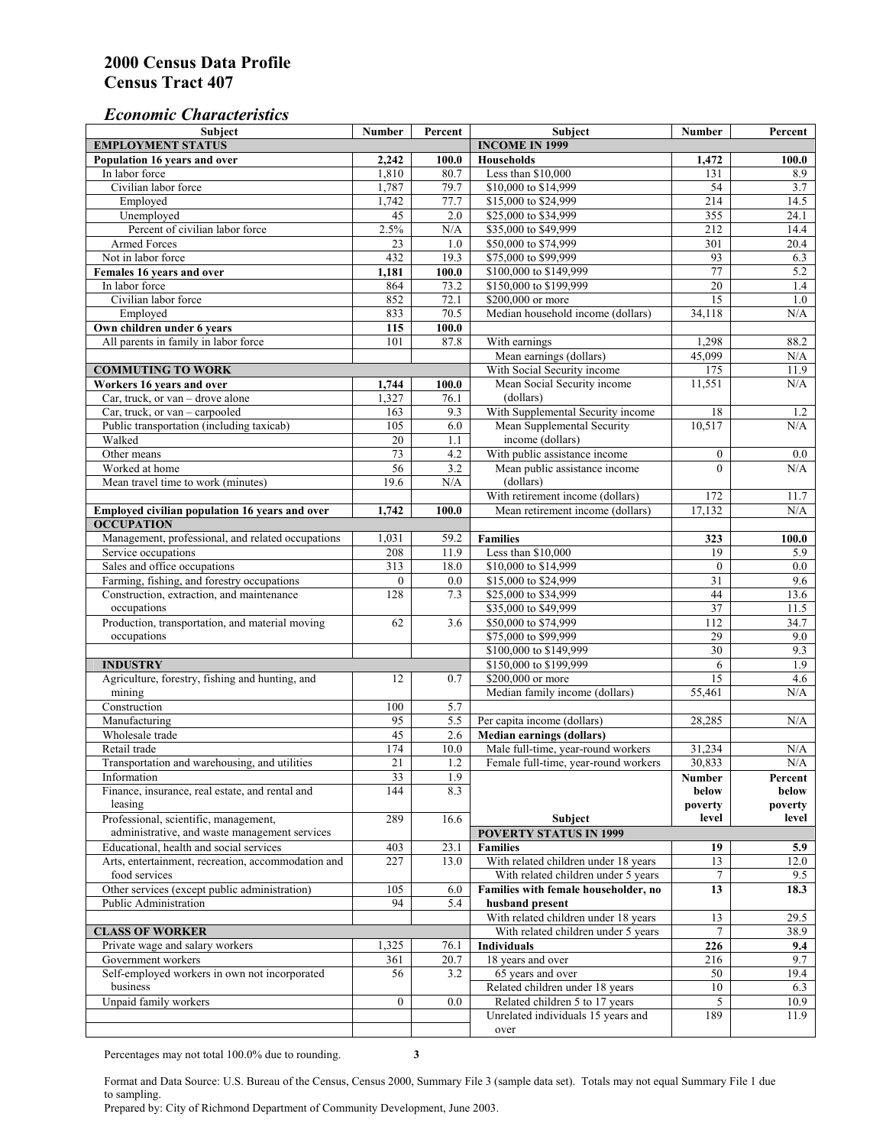#### *Economic Characteristics*

| Subject                                                             | <b>Number</b>   | Percent     | Subject                                                                    | <b>Number</b>    | Percent          |
|---------------------------------------------------------------------|-----------------|-------------|----------------------------------------------------------------------------|------------------|------------------|
| <b>EMPLOYMENT STATUS</b>                                            |                 |             | <b>INCOME IN 1999</b>                                                      |                  |                  |
| Population 16 years and over                                        | 2,242           | 100.0       | <b>Households</b>                                                          | 1,472            | 100.0            |
| In labor force                                                      | 1,810           | 80.7        | Less than \$10,000                                                         | 131              | 8.9              |
| Civilian labor force                                                | 1,787           | 79.7        | \$10,000 to \$14,999                                                       | 54               | 3.7              |
| Employed                                                            | 1,742           | 77.7        | \$15,000 to \$24,999                                                       | 214              | 14.5             |
| Unemployed                                                          | $\overline{45}$ | 2.0         | \$25,000 to \$34,999                                                       | 355              | 24.1             |
| Percent of civilian labor force                                     | 2.5%            | N/A         | \$35,000 to \$49,999                                                       | 212              | 14.4             |
| <b>Armed Forces</b>                                                 | 23              | 1.0         | \$50,000 to \$74,999                                                       | 301              | 20.4             |
| Not in labor force                                                  | 432             | 19.3        | \$75,000 to \$99,999                                                       | 93               | 6.3              |
| Females 16 years and over                                           | 1,181           | 100.0       | \$100,000 to \$149,999                                                     | 77               | 5.2              |
| In labor force                                                      | 864             | 73.2        | \$150,000 to \$199,999                                                     | $\overline{20}$  | 1.4              |
| Civilian labor force                                                | 852             | 72.1        | \$200,000 or more                                                          | 15               | 1.0              |
| Employed                                                            | 833             | 70.5        | Median household income (dollars)                                          | 34,118           | N/A              |
| Own children under 6 years                                          | 115             | 100.0       |                                                                            |                  |                  |
| All parents in family in labor force                                | 101             | 87.8        | With earnings                                                              | 1,298            | 88.2             |
|                                                                     |                 |             | Mean earnings (dollars)                                                    | 45,099           | N/A              |
| <b>COMMUTING TO WORK</b>                                            |                 |             | With Social Security income                                                | 175              | 11.9             |
| Workers 16 years and over                                           | 1,744           | 100.0       | Mean Social Security income                                                | 11,551           | N/A              |
| Car, truck, or van - drove alone                                    | 1,327           | 76.1        | (dollars)                                                                  |                  |                  |
| Car, truck, or $van - carpooled$                                    | 163             | 9.3         | With Supplemental Security income                                          | 18               | 1.2              |
| Public transportation (including taxicab)                           | 105             | 6.0         | Mean Supplemental Security                                                 | 10,517           | N/A              |
| Walked                                                              | 20              | 1.1         | income (dollars)                                                           |                  |                  |
| Other means                                                         | 73              | 4.2         | With public assistance income                                              | $\boldsymbol{0}$ | $0.0\,$          |
| Worked at home                                                      | 56              | 3.2         | Mean public assistance income                                              | $\theta$         | N/A              |
| Mean travel time to work (minutes)                                  | 19.6            | N/A         | (dollars)                                                                  |                  |                  |
|                                                                     |                 |             | With retirement income (dollars)                                           | 172              | 11.7             |
| Employed civilian population 16 years and over                      | 1,742           | 100.0       | Mean retirement income (dollars)                                           | 17,132           | N/A              |
| <b>OCCUPATION</b>                                                   |                 |             |                                                                            |                  |                  |
| Management, professional, and related occupations                   | 1,031           | 59.2        | <b>Families</b>                                                            | 323              | 100.0            |
| Service occupations                                                 | 208             | 11.9        | Less than \$10,000                                                         | 19               | 5.9              |
| Sales and office occupations                                        | 313             | 18.0        | \$10,000 to \$14,999                                                       | $\boldsymbol{0}$ | 0.0              |
| Farming, fishing, and forestry occupations                          | $\mathbf{0}$    | 0.0         | \$15,000 to \$24,999                                                       | $\overline{31}$  | 9.6              |
| Construction, extraction, and maintenance                           | 128             | 7.3         | \$25,000 to \$34,999                                                       | 44               | 13.6             |
| occupations                                                         |                 |             | \$35,000 to \$49,999                                                       | 37               | 11.5             |
| Production, transportation, and material moving                     | 62              | 3.6         | \$50,000 to \$74,999                                                       | 112              | 34.7             |
| occupations                                                         |                 |             | \$75,000 to \$99,999                                                       | 29               | 9.0              |
|                                                                     |                 |             | \$100,000 to \$149,999                                                     | $\overline{30}$  | 9.3              |
| <b>INDUSTRY</b>                                                     |                 |             | \$150,000 to \$199,999                                                     | 6                | 1.9              |
| Agriculture, forestry, fishing and hunting, and                     | 12              | 0.7         | \$200,000 or more                                                          | $\overline{15}$  | 4.6              |
| mining                                                              |                 |             | Median family income (dollars)                                             | 55,461           | N/A              |
| Construction                                                        | 100             | 5.7         |                                                                            |                  |                  |
| Manufacturing                                                       | 95              | 5.5         | Per capita income (dollars)                                                | 28,285           | N/A              |
| Wholesale trade                                                     | 45              |             |                                                                            |                  |                  |
| Retail trade                                                        | 174             | 2.6<br>10.0 | <b>Median earnings (dollars)</b>                                           |                  |                  |
| Transportation and warehousing, and utilities                       | 21              | 1.2         | Male full-time, year-round workers<br>Female full-time, year-round workers | 31,234<br>30,833 | N/A<br>N/A       |
|                                                                     |                 |             |                                                                            |                  |                  |
| Information                                                         | 33<br>144       | 1.9         |                                                                            | Number           | Percent          |
| Finance, insurance, real estate, and rental and                     |                 | 8.3         |                                                                            | below            | below            |
| leasing<br>Professional, scientific, management,                    | 289             | 16.6        | Subject                                                                    | poverty<br>level | poverty<br>level |
| administrative, and waste management services                       |                 |             | <b>POVERTY STATUS IN 1999</b>                                              |                  |                  |
| Educational, health and social services                             |                 |             |                                                                            |                  |                  |
|                                                                     | 403             | 23.1        | <b>Families</b>                                                            | 19               | 5.9              |
| Arts, entertainment, recreation, accommodation and<br>food services | 227             | 13.0        | With related children under 18 years                                       | 13               | 12.0             |
|                                                                     |                 |             | With related children under 5 years                                        | 7                | 9.5              |
| Other services (except public administration)                       | 105             | 6.0         | Families with female householder, no                                       | 13               | 18.3             |
| Public Administration                                               | 94              | 5.4         | husband present                                                            |                  |                  |
|                                                                     |                 |             | With related children under 18 years                                       | 13               | 29.5             |
| <b>CLASS OF WORKER</b>                                              |                 |             | With related children under 5 years                                        | 7                | 38.9             |
| Private wage and salary workers                                     | 1,325           | 76.1        | <b>Individuals</b>                                                         | 226              | 9.4              |
| Government workers                                                  | 361             | 20.7        | 18 years and over                                                          | 216              | 9.7              |
| Self-employed workers in own not incorporated                       | 56              | 3.2         | 65 years and over                                                          | 50               | 19.4             |
| business                                                            |                 |             | Related children under 18 years                                            | 10               | 6.3              |
| Unpaid family workers                                               | $\overline{0}$  | 0.0         | Related children 5 to 17 years                                             | 5                | 10.9             |
|                                                                     |                 |             | Unrelated individuals 15 years and                                         | 189              | 11.9             |
|                                                                     |                 |             | over                                                                       |                  |                  |

Percentages may not total 100.0% due to rounding. **3** 

Format and Data Source: U.S. Bureau of the Census, Census 2000, Summary File 3 (sample data set). Totals may not equal Summary File 1 due to sampling.

Prepared by: City of Richmond Department of Community Development, June 2003.